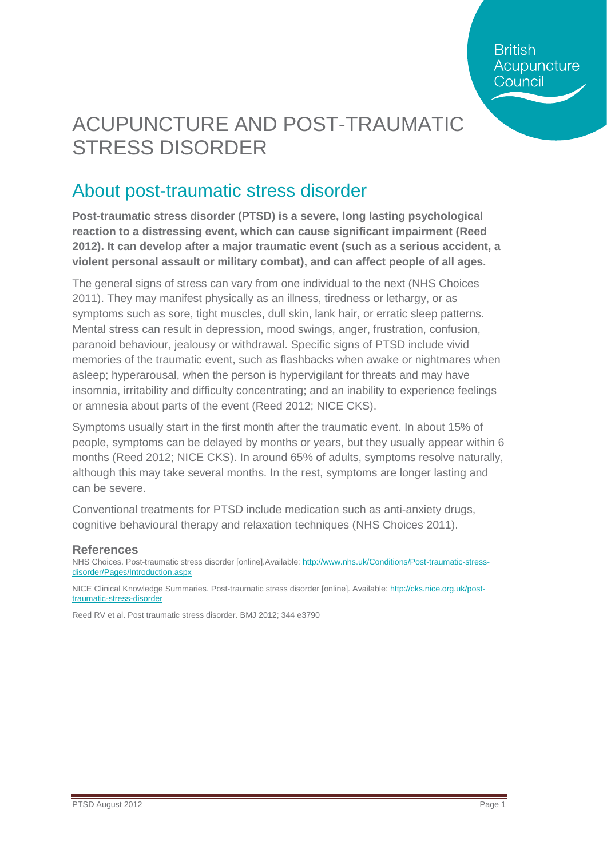**British** Acupuncture Council

# ACUPUNCTURE AND POST-TRAUMATIC STRESS DISORDER

#### About post-traumatic stress disorder

**Post-traumatic stress disorder (PTSD) is a severe, long lasting psychological reaction to a distressing event, which can cause significant impairment (Reed 2012). It can develop after a major traumatic event (such as a serious accident, a violent personal assault or military combat), and can affect people of all ages.**

The general signs of stress can vary from one individual to the next (NHS Choices 2011). They may manifest physically as an illness, tiredness or lethargy, or as symptoms such as sore, tight muscles, dull skin, lank hair, or erratic sleep patterns. Mental stress can result in depression, mood swings, anger, frustration, confusion, paranoid behaviour, jealousy or withdrawal. Specific signs of PTSD include vivid memories of the traumatic event, such as flashbacks when awake or nightmares when asleep; hyperarousal, when the person is hypervigilant for threats and may have insomnia, irritability and difficulty concentrating; and an inability to experience feelings or amnesia about parts of the event (Reed 2012; NICE CKS).

Symptoms usually start in the first month after the traumatic event. In about 15% of people, symptoms can be delayed by months or years, but they usually appear within 6 months (Reed 2012; NICE CKS). In around 65% of adults, symptoms resolve naturally, although this may take several months. In the rest, symptoms are longer lasting and can be severe.

Conventional treatments for PTSD include medication such as anti-anxiety drugs, cognitive behavioural therapy and relaxation techniques (NHS Choices 2011).

#### **References**

NHS Choices. Post-traumatic stress disorder [online].Available: [http://www.nhs.uk/Conditions/Post-traumatic-stress](http://www.nhs.uk/Conditions/Post-traumatic-stress-disorder/Pages/Introduction.aspx)[disorder/Pages/Introduction.aspx](http://www.nhs.uk/Conditions/Post-traumatic-stress-disorder/Pages/Introduction.aspx)

NICE Clinical Knowledge Summaries. Post-traumatic stress disorder [online]. Available[: http://cks.nice.org.uk/post](http://cks.nice.org.uk/post-traumatic-stress-disorder)[traumatic-stress-disorder](http://cks.nice.org.uk/post-traumatic-stress-disorder)

Reed RV et al. Post traumatic stress disorder. BMJ 2012; 344 e3790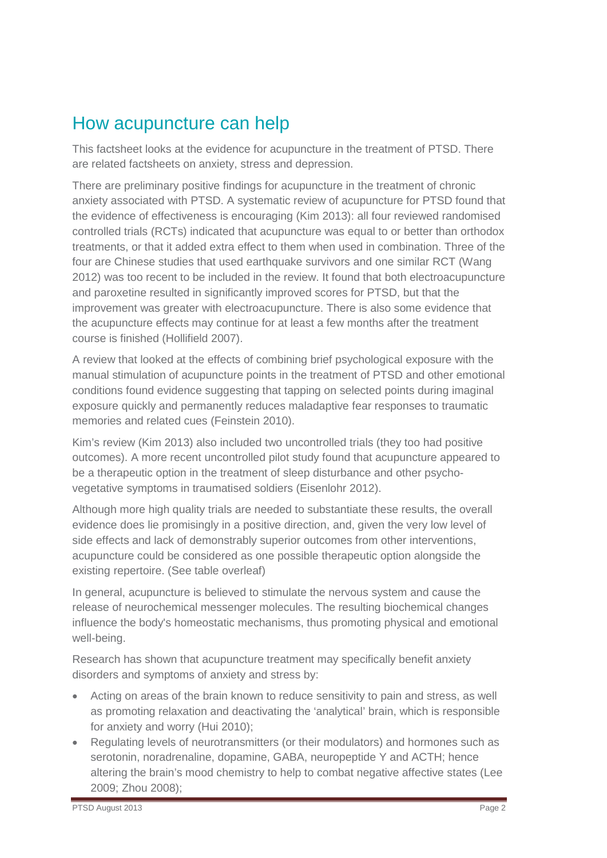### How acupuncture can help

This factsheet looks at the evidence for acupuncture in the treatment of PTSD. There are related factsheets on anxiety, stress and depression.

There are preliminary positive findings for acupuncture in the treatment of chronic anxiety associated with PTSD. A systematic review of acupuncture for PTSD found that the evidence of effectiveness is encouraging (Kim 2013): all four reviewed randomised controlled trials (RCTs) indicated that acupuncture was equal to or better than orthodox treatments, or that it added extra effect to them when used in combination. Three of the four are Chinese studies that used earthquake survivors and one similar RCT (Wang 2012) was too recent to be included in the review. It found that both electroacupuncture and paroxetine resulted in significantly improved scores for PTSD, but that the improvement was greater with electroacupuncture. There is also some evidence that the acupuncture effects may continue for at least a few months after the treatment course is finished (Hollifield 2007).

A review that looked at the effects of combining brief psychological exposure with the manual stimulation of acupuncture points in the treatment of PTSD and other emotional conditions found evidence suggesting that tapping on selected points during imaginal exposure quickly and permanently reduces maladaptive fear responses to traumatic memories and related cues (Feinstein 2010).

Kim's review (Kim 2013) also included two uncontrolled trials (they too had positive outcomes). A more recent uncontrolled pilot study found that acupuncture appeared to be a therapeutic option in the treatment of sleep disturbance and other psychovegetative symptoms in traumatised soldiers (Eisenlohr 2012).

Although more high quality trials are needed to substantiate these results, the overall evidence does lie promisingly in a positive direction, and, given the very low level of side effects and lack of demonstrably superior outcomes from other interventions, acupuncture could be considered as one possible therapeutic option alongside the existing repertoire. (See table overleaf)

In general, acupuncture is believed to stimulate the nervous system and cause the release of neurochemical messenger molecules. The resulting biochemical changes influence the body's homeostatic mechanisms, thus promoting physical and emotional well-being.

Research has shown that acupuncture treatment may specifically benefit anxiety disorders and symptoms of anxiety and stress by:

- Acting on areas of the brain known to reduce sensitivity to pain and stress, as well as promoting relaxation and deactivating the 'analytical' brain, which is responsible for anxiety and worry (Hui 2010);
- Regulating levels of neurotransmitters (or their modulators) and hormones such as serotonin, noradrenaline, dopamine, GABA, neuropeptide Y and ACTH; hence altering the brain's mood chemistry to help to combat negative affective states (Lee 2009; Zhou 2008);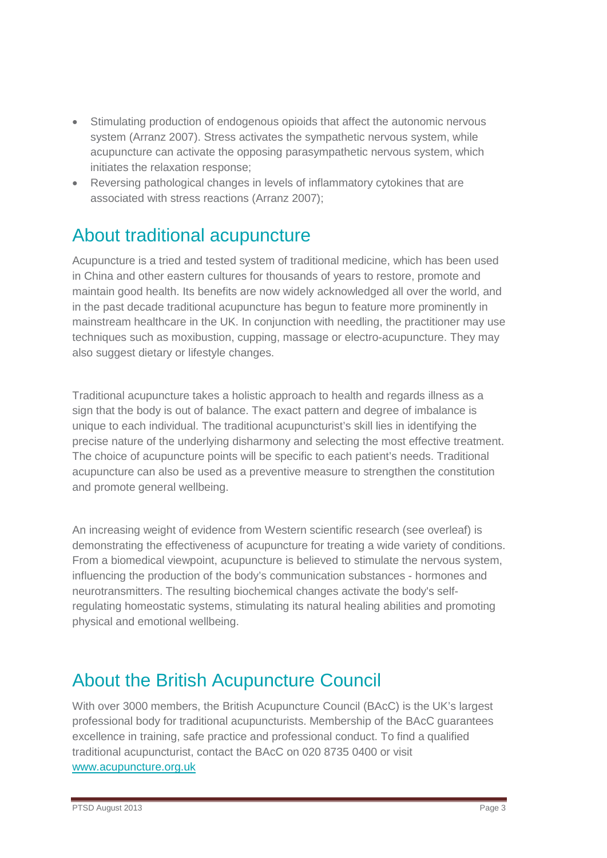- Stimulating production of endogenous opioids that affect the autonomic nervous system (Arranz 2007). Stress activates the sympathetic nervous system, while acupuncture can activate the opposing parasympathetic nervous system, which initiates the relaxation response;
- Reversing pathological changes in levels of inflammatory cytokines that are associated with stress reactions (Arranz 2007);

### About traditional acupuncture

Acupuncture is a tried and tested system of traditional medicine, which has been used in China and other eastern cultures for thousands of years to restore, promote and maintain good health. Its benefits are now widely acknowledged all over the world, and in the past decade traditional acupuncture has begun to feature more prominently in mainstream healthcare in the UK. In conjunction with needling, the practitioner may use techniques such as moxibustion, cupping, massage or electro-acupuncture. They may also suggest dietary or lifestyle changes.

Traditional acupuncture takes a holistic approach to health and regards illness as a sign that the body is out of balance. The exact pattern and degree of imbalance is unique to each individual. The traditional acupuncturist's skill lies in identifying the precise nature of the underlying disharmony and selecting the most effective treatment. The choice of acupuncture points will be specific to each patient's needs. Traditional acupuncture can also be used as a preventive measure to strengthen the constitution and promote general wellbeing.

An increasing weight of evidence from Western scientific research (see overleaf) is demonstrating the effectiveness of acupuncture for treating a wide variety of conditions. From a biomedical viewpoint, acupuncture is believed to stimulate the nervous system, influencing the production of the body's communication substances - hormones and neurotransmitters. The resulting biochemical changes activate the body's selfregulating homeostatic systems, stimulating its natural healing abilities and promoting physical and emotional wellbeing.

### About the British Acupuncture Council

With over 3000 members, the British Acupuncture Council (BAcC) is the UK's largest professional body for traditional acupuncturists. Membership of the BAcC guarantees excellence in training, safe practice and professional conduct. To find a qualified traditional acupuncturist, contact the BAcC on 020 8735 0400 or visit [www.acupuncture.org.uk](http://www.acupuncture.org.uk/)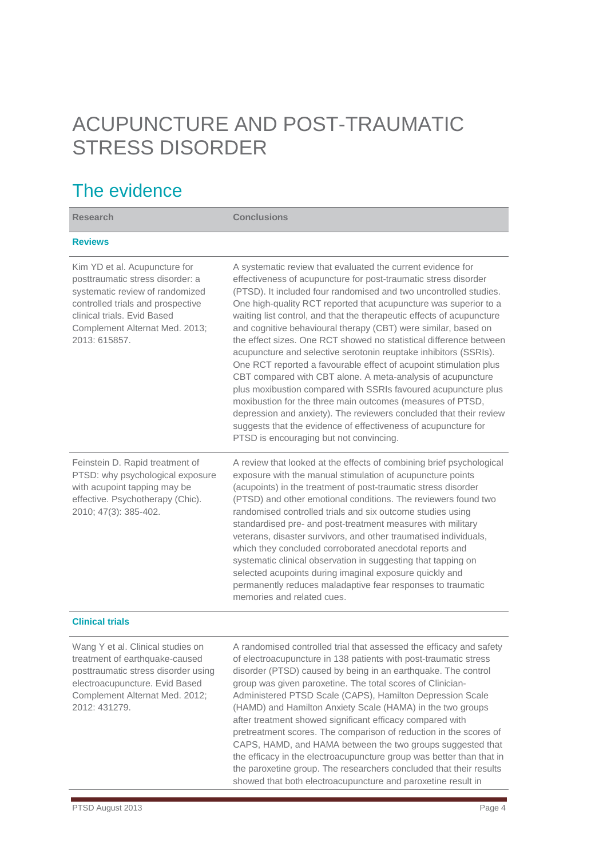## ACUPUNCTURE AND POST-TRAUMATIC STRESS DISORDER

## The evidence

| <b>Research</b>                                                                                                                                                                                                             | <b>Conclusions</b>                                                                                                                                                                                                                                                                                                                                                                                                                                                                                                                                                                                                                                                                                                                                                                                                                                                                                                                                                                                                  |
|-----------------------------------------------------------------------------------------------------------------------------------------------------------------------------------------------------------------------------|---------------------------------------------------------------------------------------------------------------------------------------------------------------------------------------------------------------------------------------------------------------------------------------------------------------------------------------------------------------------------------------------------------------------------------------------------------------------------------------------------------------------------------------------------------------------------------------------------------------------------------------------------------------------------------------------------------------------------------------------------------------------------------------------------------------------------------------------------------------------------------------------------------------------------------------------------------------------------------------------------------------------|
| <b>Reviews</b>                                                                                                                                                                                                              |                                                                                                                                                                                                                                                                                                                                                                                                                                                                                                                                                                                                                                                                                                                                                                                                                                                                                                                                                                                                                     |
| Kim YD et al. Acupuncture for<br>posttraumatic stress disorder: a<br>systematic review of randomized<br>controlled trials and prospective<br>clinical trials. Evid Based<br>Complement Alternat Med. 2013;<br>2013: 615857. | A systematic review that evaluated the current evidence for<br>effectiveness of acupuncture for post-traumatic stress disorder<br>(PTSD). It included four randomised and two uncontrolled studies.<br>One high-quality RCT reported that acupuncture was superior to a<br>waiting list control, and that the therapeutic effects of acupuncture<br>and cognitive behavioural therapy (CBT) were similar, based on<br>the effect sizes. One RCT showed no statistical difference between<br>acupuncture and selective serotonin reuptake inhibitors (SSRIs).<br>One RCT reported a favourable effect of acupoint stimulation plus<br>CBT compared with CBT alone. A meta-analysis of acupuncture<br>plus moxibustion compared with SSRIs favoured acupuncture plus<br>moxibustion for the three main outcomes (measures of PTSD,<br>depression and anxiety). The reviewers concluded that their review<br>suggests that the evidence of effectiveness of acupuncture for<br>PTSD is encouraging but not convincing. |
| Feinstein D. Rapid treatment of<br>PTSD: why psychological exposure<br>with acupoint tapping may be<br>effective. Psychotherapy (Chic).<br>2010; 47(3): 385-402.                                                            | A review that looked at the effects of combining brief psychological<br>exposure with the manual stimulation of acupuncture points<br>(acupoints) in the treatment of post-traumatic stress disorder<br>(PTSD) and other emotional conditions. The reviewers found two<br>randomised controlled trials and six outcome studies using<br>standardised pre- and post-treatment measures with military<br>veterans, disaster survivors, and other traumatised individuals,<br>which they concluded corroborated anecdotal reports and<br>systematic clinical observation in suggesting that tapping on<br>selected acupoints during imaginal exposure quickly and<br>permanently reduces maladaptive fear responses to traumatic<br>memories and related cues.                                                                                                                                                                                                                                                         |
| <b>Clinical trials</b>                                                                                                                                                                                                      |                                                                                                                                                                                                                                                                                                                                                                                                                                                                                                                                                                                                                                                                                                                                                                                                                                                                                                                                                                                                                     |
| Wang Y et al. Clinical studies on<br>treatment of earthquake-caused<br>posttraumatic stress disorder using<br>electroacupuncture. Evid Based<br>Complement Alternat Med. 2012;<br>2012: 431279.                             | A randomised controlled trial that assessed the efficacy and safety<br>of electroacupuncture in 138 patients with post-traumatic stress<br>disorder (PTSD) caused by being in an earthquake. The control<br>group was given paroxetine. The total scores of Clinician-<br>Administered PTSD Scale (CAPS), Hamilton Depression Scale<br>(HAMD) and Hamilton Anxiety Scale (HAMA) in the two groups<br>after treatment showed significant efficacy compared with<br>pretreatment scores. The comparison of reduction in the scores of<br>CAPS, HAMD, and HAMA between the two groups suggested that<br>the efficacy in the electroacupuncture group was better than that in<br>the paroxetine group. The researchers concluded that their results<br>showed that both electroacupuncture and paroxetine result in                                                                                                                                                                                                     |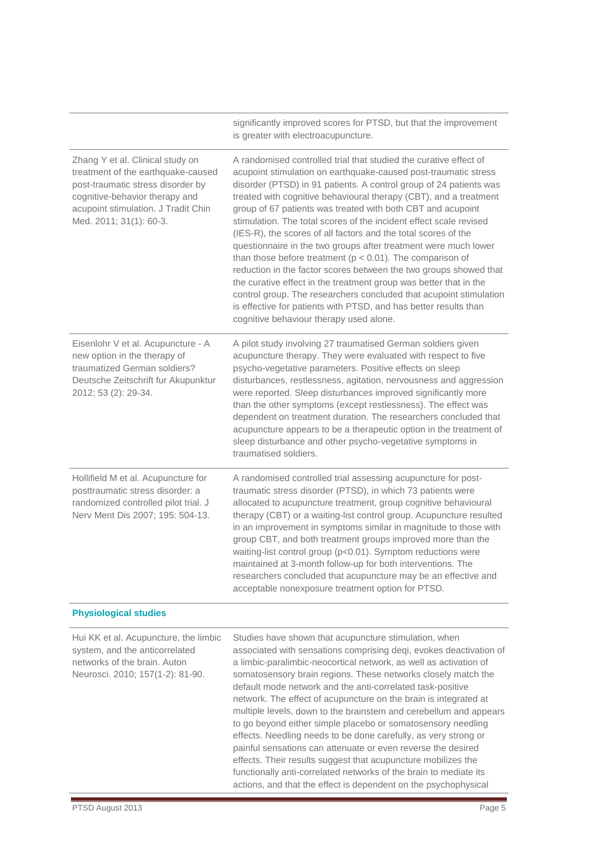|                                                                                                                                                                                                                 | significantly improved scores for PTSD, but that the improvement<br>is greater with electroacupuncture.                                                                                                                                                                                                                                                                                                                                                                                                                                                                                                                                                                                                                                                                                                                                                                                                                                                   |
|-----------------------------------------------------------------------------------------------------------------------------------------------------------------------------------------------------------------|-----------------------------------------------------------------------------------------------------------------------------------------------------------------------------------------------------------------------------------------------------------------------------------------------------------------------------------------------------------------------------------------------------------------------------------------------------------------------------------------------------------------------------------------------------------------------------------------------------------------------------------------------------------------------------------------------------------------------------------------------------------------------------------------------------------------------------------------------------------------------------------------------------------------------------------------------------------|
| Zhang Y et al. Clinical study on<br>treatment of the earthquake-caused<br>post-traumatic stress disorder by<br>cognitive-behavior therapy and<br>acupoint stimulation. J Tradit Chin<br>Med. 2011; 31(1): 60-3. | A randomised controlled trial that studied the curative effect of<br>acupoint stimulation on earthquake-caused post-traumatic stress<br>disorder (PTSD) in 91 patients. A control group of 24 patients was<br>treated with cognitive behavioural therapy (CBT), and a treatment<br>group of 67 patients was treated with both CBT and acupoint<br>stimulation. The total scores of the incident effect scale revised<br>(IES-R), the scores of all factors and the total scores of the<br>questionnaire in the two groups after treatment were much lower<br>than those before treatment ( $p < 0.01$ ). The comparison of<br>reduction in the factor scores between the two groups showed that<br>the curative effect in the treatment group was better that in the<br>control group. The researchers concluded that acupoint stimulation<br>is effective for patients with PTSD, and has better results than<br>cognitive behaviour therapy used alone. |
| Eisenlohr V et al. Acupuncture - A<br>new option in the therapy of<br>traumatized German soldiers?<br>Deutsche Zeitschrift fur Akupunktur<br>2012; 53 (2): 29-34.                                               | A pilot study involving 27 traumatised German soldiers given<br>acupuncture therapy. They were evaluated with respect to five<br>psycho-vegetative parameters. Positive effects on sleep<br>disturbances, restlessness, agitation, nervousness and aggression<br>were reported. Sleep disturbances improved significantly more<br>than the other symptoms (except restlessness). The effect was<br>dependent on treatment duration. The researchers concluded that<br>acupuncture appears to be a therapeutic option in the treatment of<br>sleep disturbance and other psycho-vegetative symptoms in<br>traumatised soldiers.                                                                                                                                                                                                                                                                                                                            |
| Hollifield M et al. Acupuncture for<br>posttraumatic stress disorder: a<br>randomized controlled pilot trial. J<br>Nerv Ment Dis 2007; 195: 504-13.                                                             | A randomised controlled trial assessing acupuncture for post-<br>traumatic stress disorder (PTSD), in which 73 patients were<br>allocated to acupuncture treatment, group cognitive behavioural<br>therapy (CBT) or a waiting-list control group. Acupuncture resulted<br>in an improvement in symptoms similar in magnitude to those with<br>group CBT, and both treatment groups improved more than the<br>waiting-list control group (p<0.01). Symptom reductions were<br>maintained at 3-month follow-up for both interventions. The<br>researchers concluded that acupuncture may be an effective and<br>acceptable nonexposure treatment option for PTSD.                                                                                                                                                                                                                                                                                           |
| <b>Physiological studies</b>                                                                                                                                                                                    |                                                                                                                                                                                                                                                                                                                                                                                                                                                                                                                                                                                                                                                                                                                                                                                                                                                                                                                                                           |
| Hui KK et al. Acupuncture, the limbic<br>system, and the anticorrelated<br>networks of the brain. Auton<br>Neurosci. 2010; 157(1-2): 81-90.                                                                     | Studies have shown that acupuncture stimulation, when<br>associated with sensations comprising deqi, evokes deactivation of<br>a limbic-paralimbic-neocortical network, as well as activation of<br>somatosensory brain regions. These networks closely match the<br>default mode network and the anti-correlated task-positive<br>network. The effect of acupuncture on the brain is integrated at<br>multiple levels, down to the brainstem and cerebellum and appears<br>to go beyond either simple placebo or somatosensory needling                                                                                                                                                                                                                                                                                                                                                                                                                  |

effects. Needling needs to be done carefully, as very strong or painful sensations can attenuate or even reverse the desired effects. Their results suggest that acupuncture mobilizes the functionally anti-correlated networks of the brain to mediate its actions, and that the effect is dependent on the psychophysical